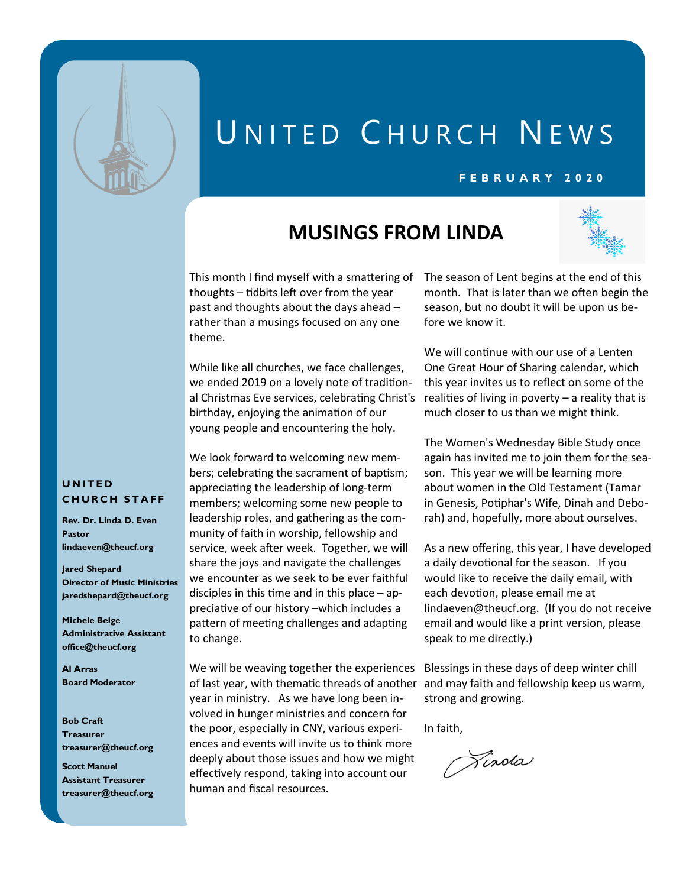

# UNITED CHURCH NEWS

#### **F E B R U A R Y 2 0 2 0**

## **MUSINGS FROM LINDA**



This month I find myself with a smattering of The season of Lent begins at the end of this thoughts – tidbits left over from the year past and thoughts about the days ahead – rather than a musings focused on any one theme.

While like all churches, we face challenges, we ended 2019 on a lovely note of traditional Christmas Eve services, celebrating Christ's birthday, enjoying the animation of our young people and encountering the holy.

We look forward to welcoming new members; celebrating the sacrament of baptism; appreciating the leadership of long-term members; welcoming some new people to leadership roles, and gathering as the community of faith in worship, fellowship and service, week after week. Together, we will share the joys and navigate the challenges we encounter as we seek to be ever faithful disciples in this time and in this place – appreciative of our history –which includes a pattern of meeting challenges and adapting to change.

We will be weaving together the experiences of last year, with thematic threads of another and may faith and fellowship keep us warm, year in ministry. As we have long been involved in hunger ministries and concern for the poor, especially in CNY, various experiences and events will invite us to think more deeply about those issues and how we might effectively respond, taking into account our human and fiscal resources.

month. That is later than we often begin the season, but no doubt it will be upon us before we know it.

We will continue with our use of a Lenten One Great Hour of Sharing calendar, which this year invites us to reflect on some of the realities of living in poverty – a reality that is much closer to us than we might think.

The Women's Wednesday Bible Study once again has invited me to join them for the season. This year we will be learning more about women in the Old Testament (Tamar in Genesis, Potiphar's Wife, Dinah and Deborah) and, hopefully, more about ourselves.

As a new offering, this year, I have developed a daily devotional for the season. If you would like to receive the daily email, with each devotion, please email me at [lindaeven@theucf.org.](mailto:lindaeven@theucf.org) (If you do not receive email and would like a print version, please speak to me directly.)

Blessings in these days of deep winter chill strong and growing.

In faith,

Tinola

#### **U N I T E D CHURCH STAFF**

**Rev. Dr. Linda D. Even Pastor lindaeven@theucf.org**

**Jared Shepard Director of Music Ministries jaredshepard@theucf.org**

**Michele Belge Administrative Assistant office@theucf.org**

**Al Arras Board Moderator**

**Bob Craft Treasurer treasurer@theucf.org**

**Scott Manuel Assistant Treasurer treasurer@theucf.org**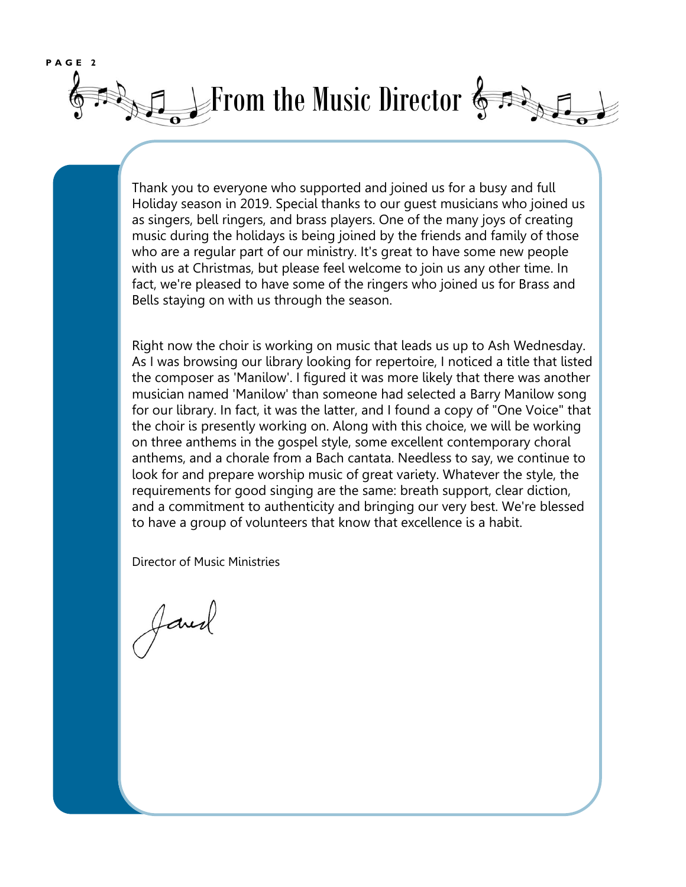

Thank you to everyone who supported and joined us for a busy and full Holiday season in 2019. Special thanks to our guest musicians who joined us as singers, bell ringers, and brass players. One of the many joys of creating music during the holidays is being joined by the friends and family of those who are a regular part of our ministry. It's great to have some new people with us at Christmas, but please feel welcome to join us any other time. In fact, we're pleased to have some of the ringers who joined us for Brass and Bells staying on with us through the season.

Right now the choir is working on music that leads us up to Ash Wednesday. As I was browsing our library looking for repertoire, I noticed a title that listed the composer as 'Manilow'. I figured it was more likely that there was another musician named 'Manilow' than someone had selected a Barry Manilow song for our library. In fact, it was the latter, and I found a copy of "One Voice" that the choir is presently working on. Along with this choice, we will be working on three anthems in the gospel style, some excellent contemporary choral anthems, and a chorale from a Bach cantata. Needless to say, we continue to look for and prepare worship music of great variety. Whatever the style, the requirements for good singing are the same: breath support, clear diction, and a commitment to authenticity and bringing our very best. We're blessed to have a group of volunteers that know that excellence is a habit.

Director of Music Ministries

Javed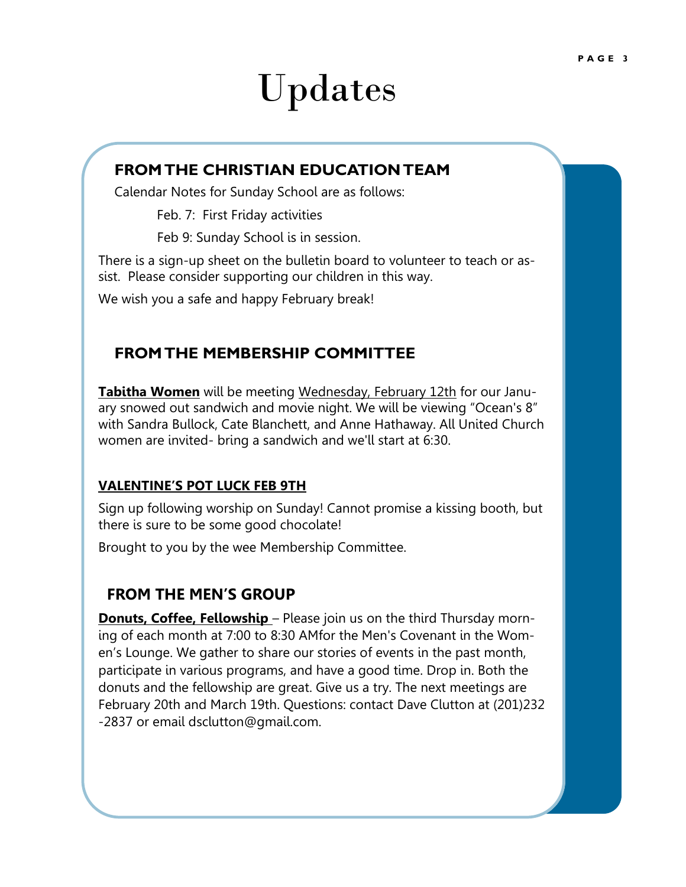# Updates

### **FROM THE CHRISTIAN EDUCATION TEAM**

Calendar Notes for Sunday School are as follows:

Feb. 7: First Friday activities

Feb 9: Sunday School is in session.

There is a sign-up sheet on the bulletin board to volunteer to teach or assist. Please consider supporting our children in this way.

We wish you a safe and happy February break!

### **FROM THE MEMBERSHIP COMMITTEE**

**Tabitha Women** will be meeting Wednesday, February 12th for our January snowed out sandwich and movie night. We will be viewing "Ocean's 8" with Sandra Bullock, Cate Blanchett, and Anne Hathaway. All United Church women are invited- bring a sandwich and we'll start at 6:30.

#### **VALENTINE'S POT LUCK FEB 9TH**

Sign up following worship on Sunday! Cannot promise a kissing booth, but  there is sure to be some good chocolate!

Brought to you by the wee Membership Committee.

#### **FROM THE MEN'S GROUP**

**Donuts, Coffee, Fellowship** – Please join us on the third Thursday morning of each month at 7:00 to 8:30 AMfor the Men's Covenant in the Women's Lounge. We gather to share our stories of events in the past month, participate in various programs, and have a good time. Drop in. Both the donuts and the fellowship are great. Give us a try. The next meetings are February 20th and March 19th. Questions: contact Dave Clutton at (201)232 -2837 or email dsclutton@gmail.com.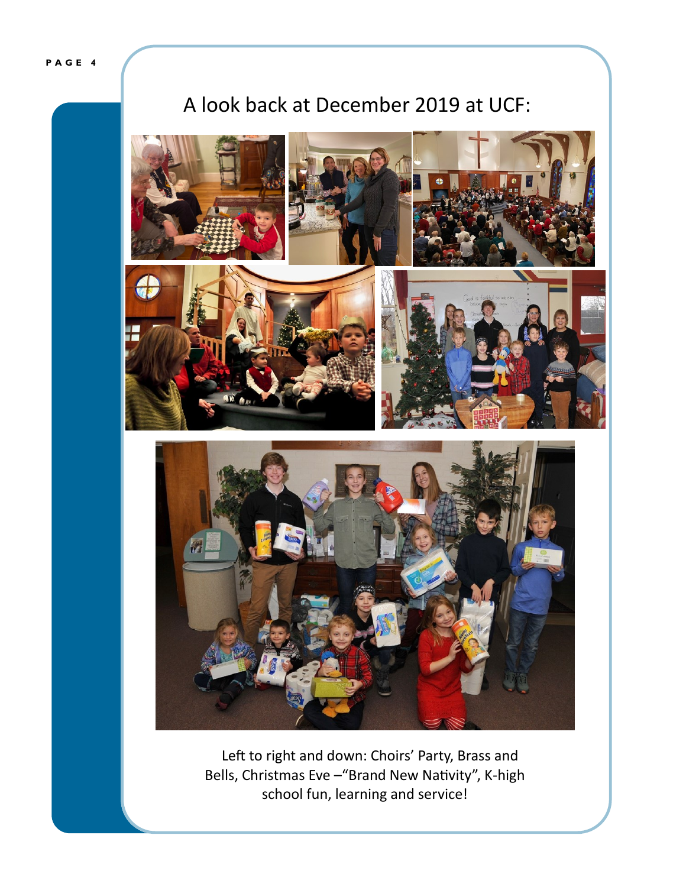**P A G E 4**

# A look back at December 2019 at UCF:



 Left to right and down: Choirs' Party, Brass and Bells, Christmas Eve –"Brand New Nativity", K-high school fun, learning and service!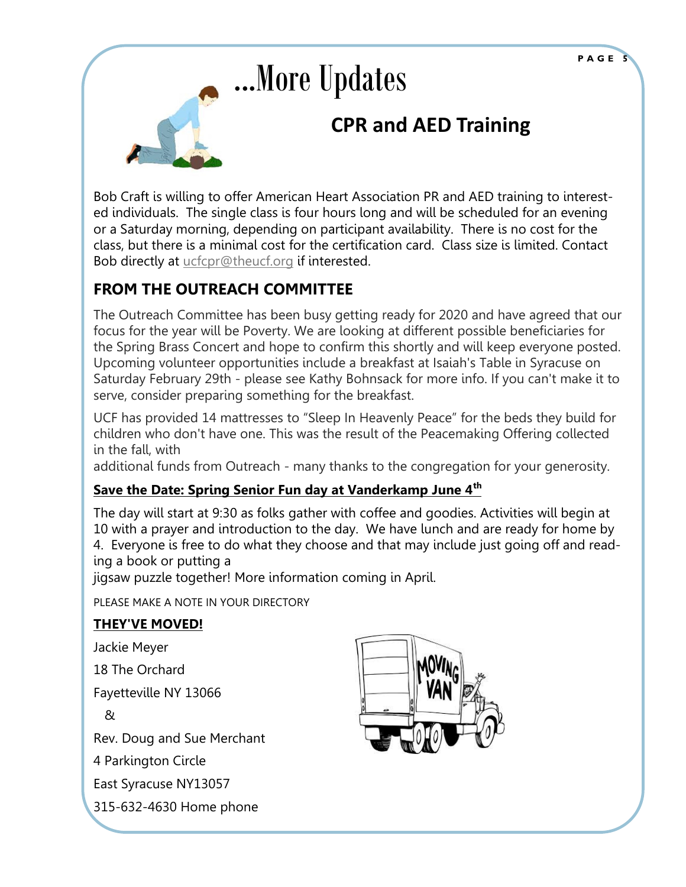# ...More Updates **CPR and AED Training**

Bob Craft is willing to offer American Heart Association PR and AED training to interested individuals. The single class is four hours long and will be scheduled for an evening or a Saturday morning, depending on participant availability. There is no cost for the class, but there is a minimal cost for the certification card. Class size is limited. Contact Bob directly at [ucfcpr@theucf.org](mailto:ucfcpr@theucf.org) if interested.

### **FROM THE OUTREACH COMMITTEE**

The Outreach Committee has been busy getting ready for 2020 and have agreed that our focus for the year will be Poverty. We are looking at different possible beneficiaries for the Spring Brass Concert and hope to confirm this shortly and will keep everyone posted. Upcoming volunteer opportunities include a breakfast at Isaiah's Table in Syracuse on Saturday February 29th - please see Kathy Bohnsack for more info. If you can't make it to serve, consider preparing something for the breakfast.

UCF has provided 14 mattresses to "Sleep In Heavenly Peace" for the beds they build for children who don't have one. This was the result of the Peacemaking Offering collected in the fall, with

additional funds from Outreach - many thanks to the congregation for your generosity.

### **Save the Date: Spring Senior Fun day at Vanderkamp June 4th**

The day will start at 9:30 as folks gather with coffee and goodies. Activities will begin at 10 with a prayer and introduction to the day. We have lunch and are ready for home by 4. Everyone is free to do what they choose and that may include just going off and reading a book or putting a

jigsaw puzzle together! More information coming in April.

PLEASE MAKE A NOTE IN YOUR DIRECTORY

### **THEY'VE MOVED!**

Jackie Meyer

18 The Orchard

Fayetteville NY 13066

&

Rev. Doug and Sue Merchant

4 Parkington Circle

East Syracuse NY13057

315-632-4630 Home phone

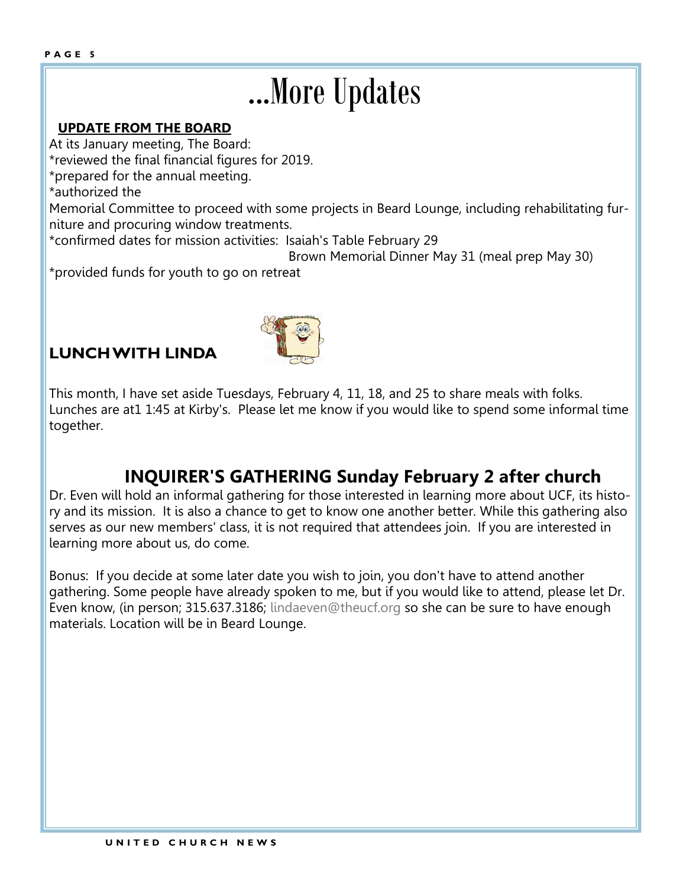# ...More Updates

#### **UPDATE FROM THE BOARD**

At its January meeting, The Board:

\*reviewed the final financial figures for 2019.

\*prepared for the annual meeting.

\*authorized the

Memorial Committee to proceed with some projects in Beard Lounge, including rehabilitating furniture and procuring window treatments.

\*confirmed dates for mission activities: Isaiah's Table February 29

Brown Memorial Dinner May 31 (meal prep May 30)

\*provided funds for youth to go on retreat

## **LUNCH WITH LINDA**



This month, I have set aside Tuesdays, February 4, 11, 18, and 25 to share meals with folks. Lunches are at1 1:45 at Kirby's. Please let me know if you would like to spend some informal time together.

## **INQUIRER'S GATHERING Sunday February 2 after church**

Dr. Even will hold an informal gathering for those interested in learning more about UCF, its history and its mission. It is also a chance to get to know one another better. While this gathering also serves as our new members' class, it is not required that attendees join. If you are interested in learning more about us, do come.

Bonus: If you decide at some later date you wish to join, you don't have to attend another gathering. Some people have already spoken to me, but if you would like to attend, please let Dr. Even know, (in person; 315.637.3186; [lindaeven@theucf.org](mailto:lindaeven@theucf.org) so she can be sure to have enough materials. Location will be in Beard Lounge.